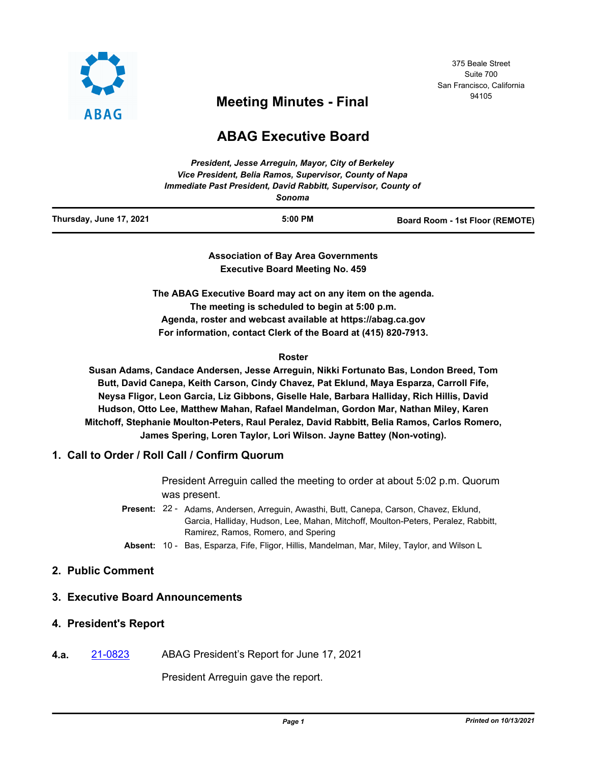

# 375 Beale Street Suite 700 San Francisco, California

# <sup>94105</sup> **Meeting Minutes - Final**

# **ABAG Executive Board**

|                         | President, Jesse Arrequin, Mayor, City of Berkeley<br>Vice President, Belia Ramos, Supervisor, County of Napa<br>Immediate Past President, David Rabbitt, Supervisor, County of<br>Sonoma |                                 |
|-------------------------|-------------------------------------------------------------------------------------------------------------------------------------------------------------------------------------------|---------------------------------|
| Thursday, June 17, 2021 | $5:00$ PM                                                                                                                                                                                 | Board Room - 1st Floor (REMOTE) |

**Association of Bay Area Governments Executive Board Meeting No. 459**

**The ABAG Executive Board may act on any item on the agenda. The meeting is scheduled to begin at 5:00 p.m. Agenda, roster and webcast available at https://abag.ca.gov For information, contact Clerk of the Board at (415) 820-7913.**

#### **Roster**

**Susan Adams, Candace Andersen, Jesse Arreguin, Nikki Fortunato Bas, London Breed, Tom Butt, David Canepa, Keith Carson, Cindy Chavez, Pat Eklund, Maya Esparza, Carroll Fife, Neysa Fligor, Leon Garcia, Liz Gibbons, Giselle Hale, Barbara Halliday, Rich Hillis, David Hudson, Otto Lee, Matthew Mahan, Rafael Mandelman, Gordon Mar, Nathan Miley, Karen Mitchoff, Stephanie Moulton-Peters, Raul Peralez, David Rabbitt, Belia Ramos, Carlos Romero, James Spering, Loren Taylor, Lori Wilson. Jayne Battey (Non-voting).**

# **1. Call to Order / Roll Call / Confirm Quorum**

President Arreguin called the meeting to order at about 5:02 p.m. Quorum was present.

Present: 22 - Adams, Andersen, Arreguin, Awasthi, Butt, Canepa, Carson, Chavez, Eklund, Garcia, Halliday, Hudson, Lee, Mahan, Mitchoff, Moulton-Peters, Peralez, Rabbitt, Ramirez, Ramos, Romero, and Spering

**Absent:** 10 - Bas, Esparza, Fife, Fligor, Hillis, Mandelman, Mar, Miley, Taylor, and Wilson L

# **2. Public Comment**

# **3. Executive Board Announcements**

#### **4. President's Report**

**4.a.** [21-0823](http://mtc.legistar.com/gateway.aspx?m=l&id=/matter.aspx?key=22416) ABAG President's Report for June 17, 2021

President Arreguin gave the report.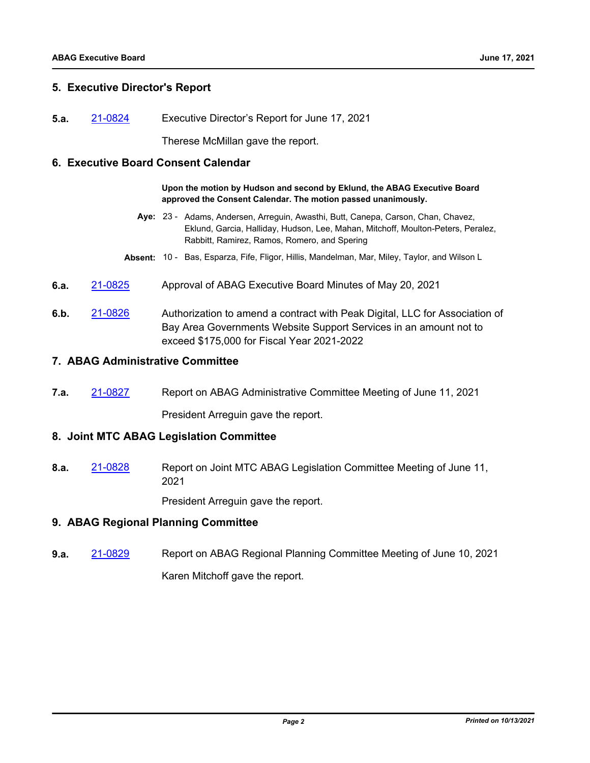# **5. Executive Director's Report**

**5.a.** [21-0824](http://mtc.legistar.com/gateway.aspx?m=l&id=/matter.aspx?key=22417) Executive Director's Report for June 17, 2021

Therese McMillan gave the report.

#### **6. Executive Board Consent Calendar**

**Upon the motion by Hudson and second by Eklund, the ABAG Executive Board approved the Consent Calendar. The motion passed unanimously.**

- Aye: 23 Adams, Andersen, Arreguin, Awasthi, Butt, Canepa, Carson, Chan, Chavez, Eklund, Garcia, Halliday, Hudson, Lee, Mahan, Mitchoff, Moulton-Peters, Peralez, Rabbitt, Ramirez, Ramos, Romero, and Spering
- **Absent:** 10 Bas, Esparza, Fife, Fligor, Hillis, Mandelman, Mar, Miley, Taylor, and Wilson L
- **6.a.** [21-0825](http://mtc.legistar.com/gateway.aspx?m=l&id=/matter.aspx?key=22418) Approval of ABAG Executive Board Minutes of May 20, 2021
- **6.b.** [21-0826](http://mtc.legistar.com/gateway.aspx?m=l&id=/matter.aspx?key=22419) Authorization to amend a contract with Peak Digital, LLC for Association of Bay Area Governments Website Support Services in an amount not to exceed \$175,000 for Fiscal Year 2021-2022

#### **7. ABAG Administrative Committee**

**7.a.** [21-0827](http://mtc.legistar.com/gateway.aspx?m=l&id=/matter.aspx?key=22420) Report on ABAG Administrative Committee Meeting of June 11, 2021

President Arreguin gave the report.

#### **8. Joint MTC ABAG Legislation Committee**

**8.a.** [21-0828](http://mtc.legistar.com/gateway.aspx?m=l&id=/matter.aspx?key=22421) Report on Joint MTC ABAG Legislation Committee Meeting of June 11, 2021

President Arreguin gave the report.

#### **9. ABAG Regional Planning Committee**

**9.a.** [21-0829](http://mtc.legistar.com/gateway.aspx?m=l&id=/matter.aspx?key=22422) Report on ABAG Regional Planning Committee Meeting of June 10, 2021 Karen Mitchoff gave the report.